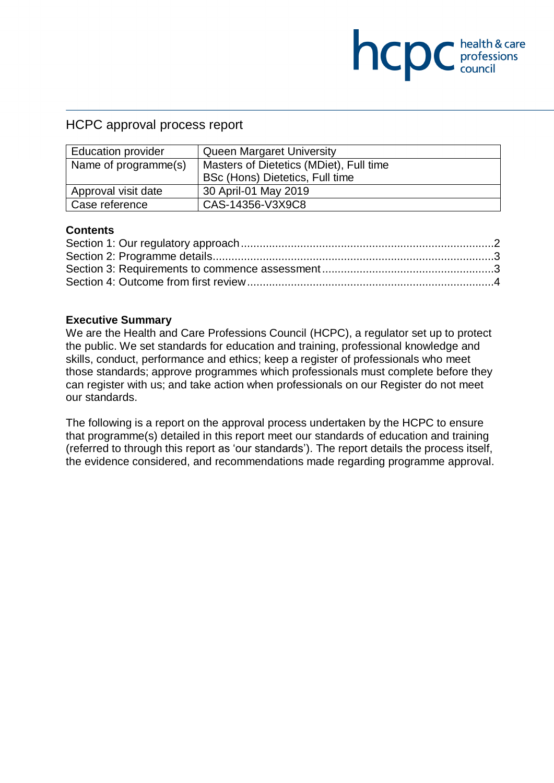## HCPC approval process report

| <b>Education provider</b> | <b>Queen Margaret University</b>        |  |
|---------------------------|-----------------------------------------|--|
| Name of programme(s)      | Masters of Dietetics (MDiet), Full time |  |
|                           | BSc (Hons) Dietetics, Full time         |  |
| Approval visit date       | 30 April-01 May 2019                    |  |
| Case reference            | CAS-14356-V3X9C8                        |  |

**NCDC** health & care

#### **Contents**

#### **Executive Summary**

We are the Health and Care Professions Council (HCPC), a regulator set up to protect the public. We set standards for education and training, professional knowledge and skills, conduct, performance and ethics; keep a register of professionals who meet those standards; approve programmes which professionals must complete before they can register with us; and take action when professionals on our Register do not meet our standards.

The following is a report on the approval process undertaken by the HCPC to ensure that programme(s) detailed in this report meet our standards of education and training (referred to through this report as 'our standards'). The report details the process itself, the evidence considered, and recommendations made regarding programme approval.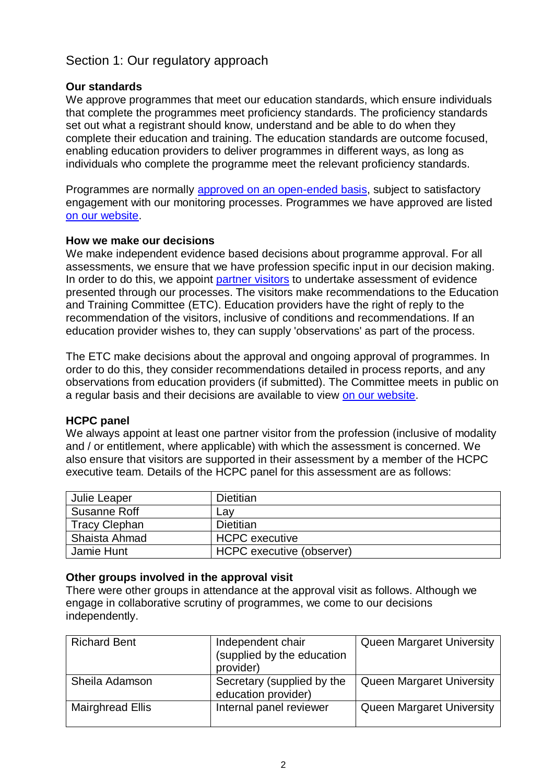# <span id="page-1-0"></span>Section 1: Our regulatory approach

#### **Our standards**

We approve programmes that meet our education standards, which ensure individuals that complete the programmes meet proficiency standards. The proficiency standards set out what a registrant should know, understand and be able to do when they complete their education and training. The education standards are outcome focused, enabling education providers to deliver programmes in different ways, as long as individuals who complete the programme meet the relevant proficiency standards.

Programmes are normally [approved on an open-ended basis,](http://www.hcpc-uk.org/education/processes/) subject to satisfactory engagement with our monitoring processes. Programmes we have approved are listed [on our website.](http://www.hcpc-uk.org/education/programmes/register/)

#### **How we make our decisions**

We make independent evidence based decisions about programme approval. For all assessments, we ensure that we have profession specific input in our decision making. In order to do this, we appoint [partner visitors](http://www.hcpc-uk.org/aboutus/partners/) to undertake assessment of evidence presented through our processes. The visitors make recommendations to the Education and Training Committee (ETC). Education providers have the right of reply to the recommendation of the visitors, inclusive of conditions and recommendations. If an education provider wishes to, they can supply 'observations' as part of the process.

The ETC make decisions about the approval and ongoing approval of programmes. In order to do this, they consider recommendations detailed in process reports, and any observations from education providers (if submitted). The Committee meets in public on a regular basis and their decisions are available to view [on our website.](http://www.hcpc-uk.org/aboutus/committees/educationandtrainingpanel/)

#### **HCPC panel**

We always appoint at least one partner visitor from the profession (inclusive of modality and / or entitlement, where applicable) with which the assessment is concerned. We also ensure that visitors are supported in their assessment by a member of the HCPC executive team. Details of the HCPC panel for this assessment are as follows:

| Julie Leaper         | Dietitian                 |  |
|----------------------|---------------------------|--|
| Susanne Roff         | Lav                       |  |
| <b>Tracy Clephan</b> | <b>Dietitian</b>          |  |
| Shaista Ahmad        | <b>HCPC</b> executive     |  |
| Jamie Hunt           | HCPC executive (observer) |  |

#### **Other groups involved in the approval visit**

There were other groups in attendance at the approval visit as follows. Although we engage in collaborative scrutiny of programmes, we come to our decisions independently.

| <b>Richard Bent</b> | Independent chair<br>(supplied by the education<br>provider) | <b>Queen Margaret University</b> |
|---------------------|--------------------------------------------------------------|----------------------------------|
| Sheila Adamson      | Secretary (supplied by the<br>education provider)            | <b>Queen Margaret University</b> |
| Mairghread Ellis    | Internal panel reviewer                                      | <b>Queen Margaret University</b> |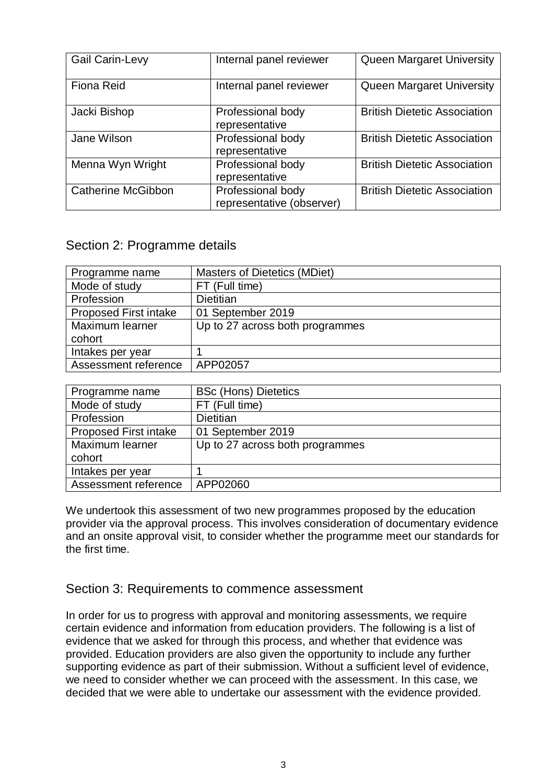| <b>Gail Carin-Levy</b>    | Internal panel reviewer                        | Queen Margaret University           |
|---------------------------|------------------------------------------------|-------------------------------------|
| <b>Fiona Reid</b>         | Internal panel reviewer                        | Queen Margaret University           |
| Jacki Bishop              | Professional body<br>representative            | <b>British Dietetic Association</b> |
| Jane Wilson               | Professional body<br>representative            | <b>British Dietetic Association</b> |
| Menna Wyn Wright          | Professional body<br>representative            | <b>British Dietetic Association</b> |
| <b>Catherine McGibbon</b> | Professional body<br>representative (observer) | <b>British Dietetic Association</b> |

# <span id="page-2-0"></span>Section 2: Programme details

| Programme name               | <b>Masters of Dietetics (MDiet)</b> |
|------------------------------|-------------------------------------|
| Mode of study                | FT (Full time)                      |
| Profession                   | Dietitian                           |
| <b>Proposed First intake</b> | 01 September 2019                   |
| Maximum learner              | Up to 27 across both programmes     |
| cohort                       |                                     |
| Intakes per year             |                                     |
| Assessment reference         | APP02057                            |

| Programme name               | <b>BSc (Hons) Dietetics</b>     |
|------------------------------|---------------------------------|
| Mode of study                | FT (Full time)                  |
| Profession                   | <b>Dietitian</b>                |
| <b>Proposed First intake</b> | 01 September 2019               |
| Maximum learner              | Up to 27 across both programmes |
| cohort                       |                                 |
| Intakes per year             |                                 |
| Assessment reference         | APP02060                        |

We undertook this assessment of two new programmes proposed by the education provider via the approval process. This involves consideration of documentary evidence and an onsite approval visit, to consider whether the programme meet our standards for the first time.

## <span id="page-2-1"></span>Section 3: Requirements to commence assessment

In order for us to progress with approval and monitoring assessments, we require certain evidence and information from education providers. The following is a list of evidence that we asked for through this process, and whether that evidence was provided. Education providers are also given the opportunity to include any further supporting evidence as part of their submission. Without a sufficient level of evidence, we need to consider whether we can proceed with the assessment. In this case, we decided that we were able to undertake our assessment with the evidence provided.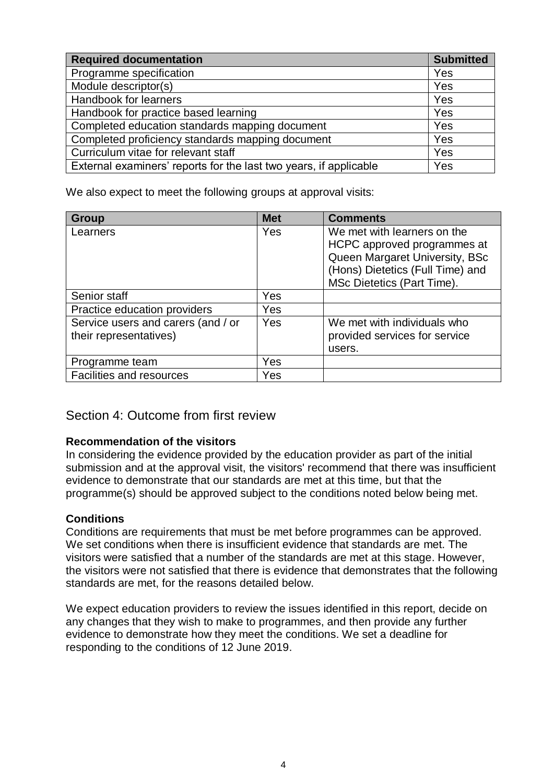| <b>Required documentation</b>                                     | <b>Submitted</b> |
|-------------------------------------------------------------------|------------------|
| Programme specification                                           | Yes              |
| Module descriptor(s)                                              | Yes              |
| Handbook for learners                                             | Yes              |
| Handbook for practice based learning                              | Yes              |
| Completed education standards mapping document                    | Yes              |
| Completed proficiency standards mapping document                  | Yes              |
| Curriculum vitae for relevant staff                               | Yes              |
| External examiners' reports for the last two years, if applicable | Yes              |

We also expect to meet the following groups at approval visits:

| <b>Group</b>                       | <b>Met</b> | <b>Comments</b>                                            |
|------------------------------------|------------|------------------------------------------------------------|
| Learners                           | Yes        | We met with learners on the<br>HCPC approved programmes at |
|                                    |            | Queen Margaret University, BSc                             |
|                                    |            | (Hons) Dietetics (Full Time) and                           |
|                                    |            | MSc Dietetics (Part Time).                                 |
| Senior staff                       | Yes        |                                                            |
| Practice education providers       | Yes        |                                                            |
| Service users and carers (and / or | Yes        | We met with individuals who                                |
| their representatives)             |            | provided services for service                              |
|                                    |            | users.                                                     |
| Programme team                     | Yes        |                                                            |
| <b>Facilities and resources</b>    | Yes        |                                                            |

# <span id="page-3-0"></span>Section 4: Outcome from first review

## **Recommendation of the visitors**

In considering the evidence provided by the education provider as part of the initial submission and at the approval visit, the visitors' recommend that there was insufficient evidence to demonstrate that our standards are met at this time, but that the programme(s) should be approved subject to the conditions noted below being met.

## **Conditions**

Conditions are requirements that must be met before programmes can be approved. We set conditions when there is insufficient evidence that standards are met. The visitors were satisfied that a number of the standards are met at this stage. However, the visitors were not satisfied that there is evidence that demonstrates that the following standards are met, for the reasons detailed below.

We expect education providers to review the issues identified in this report, decide on any changes that they wish to make to programmes, and then provide any further evidence to demonstrate how they meet the conditions. We set a deadline for responding to the conditions of 12 June 2019.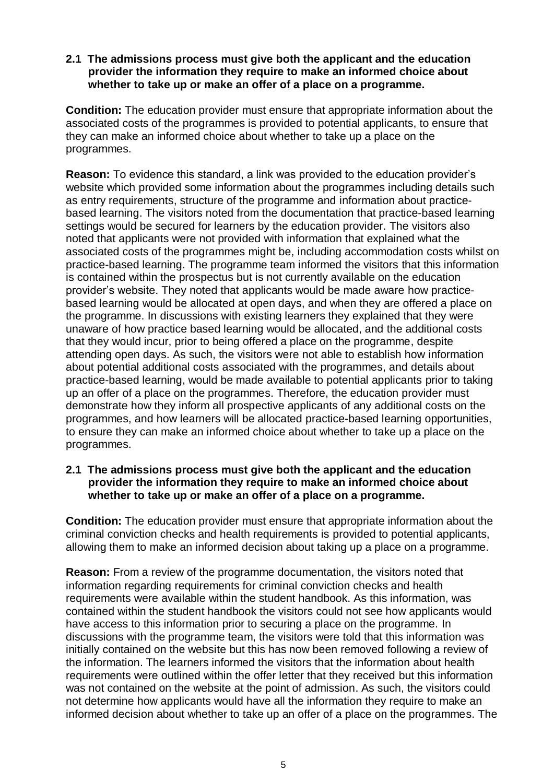#### **2.1 The admissions process must give both the applicant and the education provider the information they require to make an informed choice about whether to take up or make an offer of a place on a programme.**

**Condition:** The education provider must ensure that appropriate information about the associated costs of the programmes is provided to potential applicants, to ensure that they can make an informed choice about whether to take up a place on the programmes.

**Reason:** To evidence this standard, a link was provided to the education provider's website which provided some information about the programmes including details such as entry requirements, structure of the programme and information about practicebased learning. The visitors noted from the documentation that practice-based learning settings would be secured for learners by the education provider. The visitors also noted that applicants were not provided with information that explained what the associated costs of the programmes might be, including accommodation costs whilst on practice-based learning. The programme team informed the visitors that this information is contained within the prospectus but is not currently available on the education provider's website. They noted that applicants would be made aware how practicebased learning would be allocated at open days, and when they are offered a place on the programme. In discussions with existing learners they explained that they were unaware of how practice based learning would be allocated, and the additional costs that they would incur, prior to being offered a place on the programme, despite attending open days. As such, the visitors were not able to establish how information about potential additional costs associated with the programmes, and details about practice-based learning, would be made available to potential applicants prior to taking up an offer of a place on the programmes. Therefore, the education provider must demonstrate how they inform all prospective applicants of any additional costs on the programmes, and how learners will be allocated practice-based learning opportunities, to ensure they can make an informed choice about whether to take up a place on the programmes.

#### **2.1 The admissions process must give both the applicant and the education provider the information they require to make an informed choice about whether to take up or make an offer of a place on a programme.**

**Condition:** The education provider must ensure that appropriate information about the criminal conviction checks and health requirements is provided to potential applicants, allowing them to make an informed decision about taking up a place on a programme.

**Reason:** From a review of the programme documentation, the visitors noted that information regarding requirements for criminal conviction checks and health requirements were available within the student handbook. As this information, was contained within the student handbook the visitors could not see how applicants would have access to this information prior to securing a place on the programme. In discussions with the programme team, the visitors were told that this information was initially contained on the website but this has now been removed following a review of the information. The learners informed the visitors that the information about health requirements were outlined within the offer letter that they received but this information was not contained on the website at the point of admission. As such, the visitors could not determine how applicants would have all the information they require to make an informed decision about whether to take up an offer of a place on the programmes. The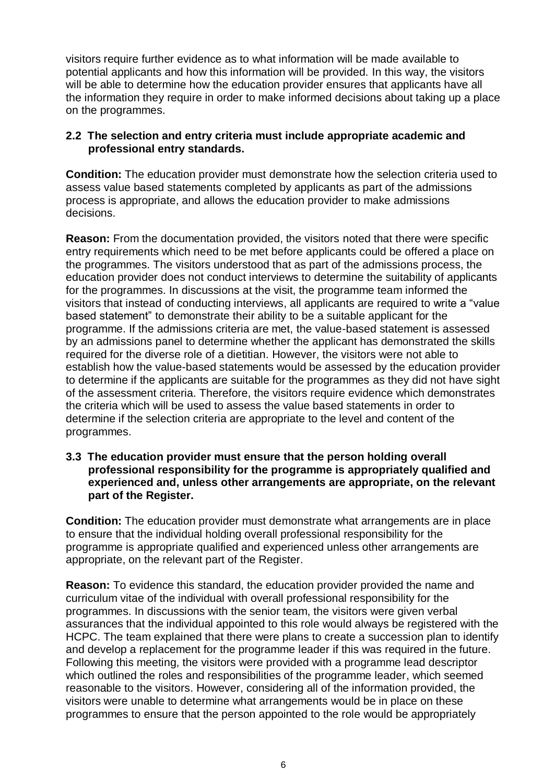visitors require further evidence as to what information will be made available to potential applicants and how this information will be provided. In this way, the visitors will be able to determine how the education provider ensures that applicants have all the information they require in order to make informed decisions about taking up a place on the programmes.

#### **2.2 The selection and entry criteria must include appropriate academic and professional entry standards.**

**Condition:** The education provider must demonstrate how the selection criteria used to assess value based statements completed by applicants as part of the admissions process is appropriate, and allows the education provider to make admissions decisions.

**Reason:** From the documentation provided, the visitors noted that there were specific entry requirements which need to be met before applicants could be offered a place on the programmes. The visitors understood that as part of the admissions process, the education provider does not conduct interviews to determine the suitability of applicants for the programmes. In discussions at the visit, the programme team informed the visitors that instead of conducting interviews, all applicants are required to write a "value based statement" to demonstrate their ability to be a suitable applicant for the programme. If the admissions criteria are met, the value-based statement is assessed by an admissions panel to determine whether the applicant has demonstrated the skills required for the diverse role of a dietitian. However, the visitors were not able to establish how the value-based statements would be assessed by the education provider to determine if the applicants are suitable for the programmes as they did not have sight of the assessment criteria. Therefore, the visitors require evidence which demonstrates the criteria which will be used to assess the value based statements in order to determine if the selection criteria are appropriate to the level and content of the programmes.

#### **3.3 The education provider must ensure that the person holding overall professional responsibility for the programme is appropriately qualified and experienced and, unless other arrangements are appropriate, on the relevant part of the Register.**

**Condition:** The education provider must demonstrate what arrangements are in place to ensure that the individual holding overall professional responsibility for the programme is appropriate qualified and experienced unless other arrangements are appropriate, on the relevant part of the Register.

**Reason:** To evidence this standard, the education provider provided the name and curriculum vitae of the individual with overall professional responsibility for the programmes. In discussions with the senior team, the visitors were given verbal assurances that the individual appointed to this role would always be registered with the HCPC. The team explained that there were plans to create a succession plan to identify and develop a replacement for the programme leader if this was required in the future. Following this meeting, the visitors were provided with a programme lead descriptor which outlined the roles and responsibilities of the programme leader, which seemed reasonable to the visitors. However, considering all of the information provided, the visitors were unable to determine what arrangements would be in place on these programmes to ensure that the person appointed to the role would be appropriately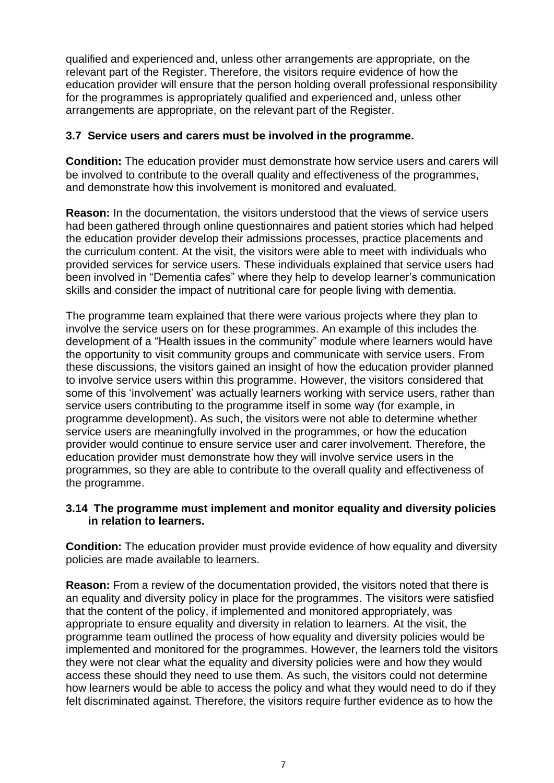qualified and experienced and, unless other arrangements are appropriate, on the relevant part of the Register. Therefore, the visitors require evidence of how the education provider will ensure that the person holding overall professional responsibility for the programmes is appropriately qualified and experienced and, unless other arrangements are appropriate, on the relevant part of the Register.

#### **3.7 Service users and carers must be involved in the programme.**

**Condition:** The education provider must demonstrate how service users and carers will be involved to contribute to the overall quality and effectiveness of the programmes, and demonstrate how this involvement is monitored and evaluated.

**Reason:** In the documentation, the visitors understood that the views of service users had been gathered through online questionnaires and patient stories which had helped the education provider develop their admissions processes, practice placements and the curriculum content. At the visit, the visitors were able to meet with individuals who provided services for service users. These individuals explained that service users had been involved in "Dementia cafes" where they help to develop learner's communication skills and consider the impact of nutritional care for people living with dementia.

The programme team explained that there were various projects where they plan to involve the service users on for these programmes. An example of this includes the development of a "Health issues in the community" module where learners would have the opportunity to visit community groups and communicate with service users. From these discussions, the visitors gained an insight of how the education provider planned to involve service users within this programme. However, the visitors considered that some of this 'involvement' was actually learners working with service users, rather than service users contributing to the programme itself in some way (for example, in programme development). As such, the visitors were not able to determine whether service users are meaningfully involved in the programmes, or how the education provider would continue to ensure service user and carer involvement. Therefore, the education provider must demonstrate how they will involve service users in the programmes, so they are able to contribute to the overall quality and effectiveness of the programme.

#### **3.14 The programme must implement and monitor equality and diversity policies in relation to learners.**

**Condition:** The education provider must provide evidence of how equality and diversity policies are made available to learners.

**Reason:** From a review of the documentation provided, the visitors noted that there is an equality and diversity policy in place for the programmes. The visitors were satisfied that the content of the policy, if implemented and monitored appropriately, was appropriate to ensure equality and diversity in relation to learners. At the visit, the programme team outlined the process of how equality and diversity policies would be implemented and monitored for the programmes. However, the learners told the visitors they were not clear what the equality and diversity policies were and how they would access these should they need to use them. As such, the visitors could not determine how learners would be able to access the policy and what they would need to do if they felt discriminated against. Therefore, the visitors require further evidence as to how the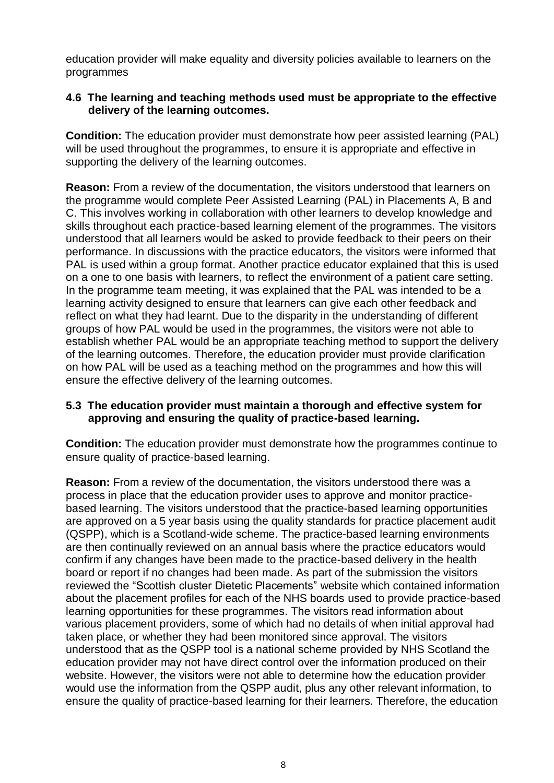education provider will make equality and diversity policies available to learners on the programmes

#### **4.6 The learning and teaching methods used must be appropriate to the effective delivery of the learning outcomes.**

**Condition:** The education provider must demonstrate how peer assisted learning (PAL) will be used throughout the programmes, to ensure it is appropriate and effective in supporting the delivery of the learning outcomes.

**Reason:** From a review of the documentation, the visitors understood that learners on the programme would complete Peer Assisted Learning (PAL) in Placements A, B and C. This involves working in collaboration with other learners to develop knowledge and skills throughout each practice-based learning element of the programmes. The visitors understood that all learners would be asked to provide feedback to their peers on their performance. In discussions with the practice educators, the visitors were informed that PAL is used within a group format. Another practice educator explained that this is used on a one to one basis with learners, to reflect the environment of a patient care setting. In the programme team meeting, it was explained that the PAL was intended to be a learning activity designed to ensure that learners can give each other feedback and reflect on what they had learnt. Due to the disparity in the understanding of different groups of how PAL would be used in the programmes, the visitors were not able to establish whether PAL would be an appropriate teaching method to support the delivery of the learning outcomes. Therefore, the education provider must provide clarification on how PAL will be used as a teaching method on the programmes and how this will ensure the effective delivery of the learning outcomes.

#### **5.3 The education provider must maintain a thorough and effective system for approving and ensuring the quality of practice-based learning.**

**Condition:** The education provider must demonstrate how the programmes continue to ensure quality of practice-based learning.

**Reason:** From a review of the documentation, the visitors understood there was a process in place that the education provider uses to approve and monitor practicebased learning. The visitors understood that the practice-based learning opportunities are approved on a 5 year basis using the quality standards for practice placement audit (QSPP), which is a Scotland-wide scheme. The practice-based learning environments are then continually reviewed on an annual basis where the practice educators would confirm if any changes have been made to the practice-based delivery in the health board or report if no changes had been made. As part of the submission the visitors reviewed the "Scottish cluster Dietetic Placements" website which contained information about the placement profiles for each of the NHS boards used to provide practice-based learning opportunities for these programmes. The visitors read information about various placement providers, some of which had no details of when initial approval had taken place, or whether they had been monitored since approval. The visitors understood that as the QSPP tool is a national scheme provided by NHS Scotland the education provider may not have direct control over the information produced on their website. However, the visitors were not able to determine how the education provider would use the information from the QSPP audit, plus any other relevant information, to ensure the quality of practice-based learning for their learners. Therefore, the education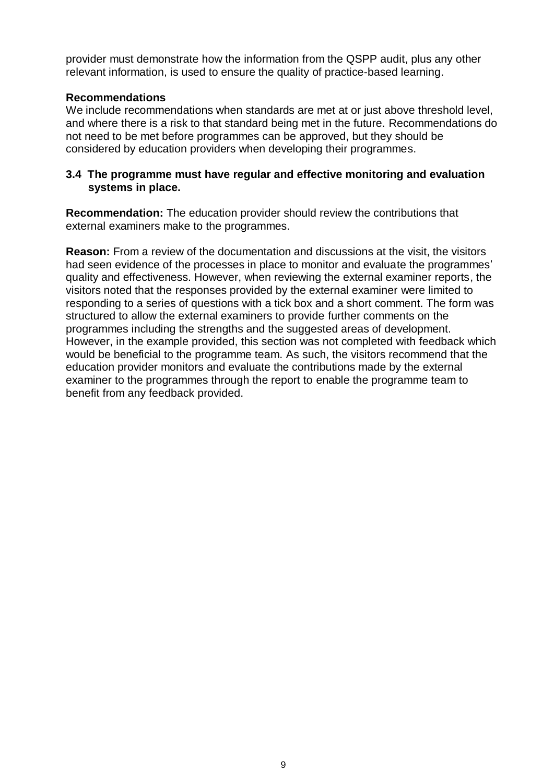provider must demonstrate how the information from the QSPP audit, plus any other relevant information, is used to ensure the quality of practice-based learning.

### **Recommendations**

We include recommendations when standards are met at or just above threshold level, and where there is a risk to that standard being met in the future. Recommendations do not need to be met before programmes can be approved, but they should be considered by education providers when developing their programmes.

#### **3.4 The programme must have regular and effective monitoring and evaluation systems in place.**

**Recommendation:** The education provider should review the contributions that external examiners make to the programmes.

**Reason:** From a review of the documentation and discussions at the visit, the visitors had seen evidence of the processes in place to monitor and evaluate the programmes' quality and effectiveness. However, when reviewing the external examiner reports, the visitors noted that the responses provided by the external examiner were limited to responding to a series of questions with a tick box and a short comment. The form was structured to allow the external examiners to provide further comments on the programmes including the strengths and the suggested areas of development. However, in the example provided, this section was not completed with feedback which would be beneficial to the programme team. As such, the visitors recommend that the education provider monitors and evaluate the contributions made by the external examiner to the programmes through the report to enable the programme team to benefit from any feedback provided.